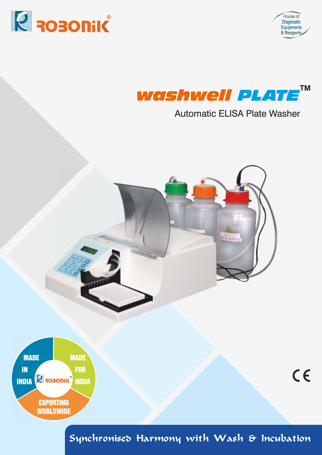

House of Diagnostic Equipments<br>& Reagents

 $C<sub>6</sub>$ 



# **Automatic ELISA Plate Washer**





Synchronised Harmony with Wash & Incubation